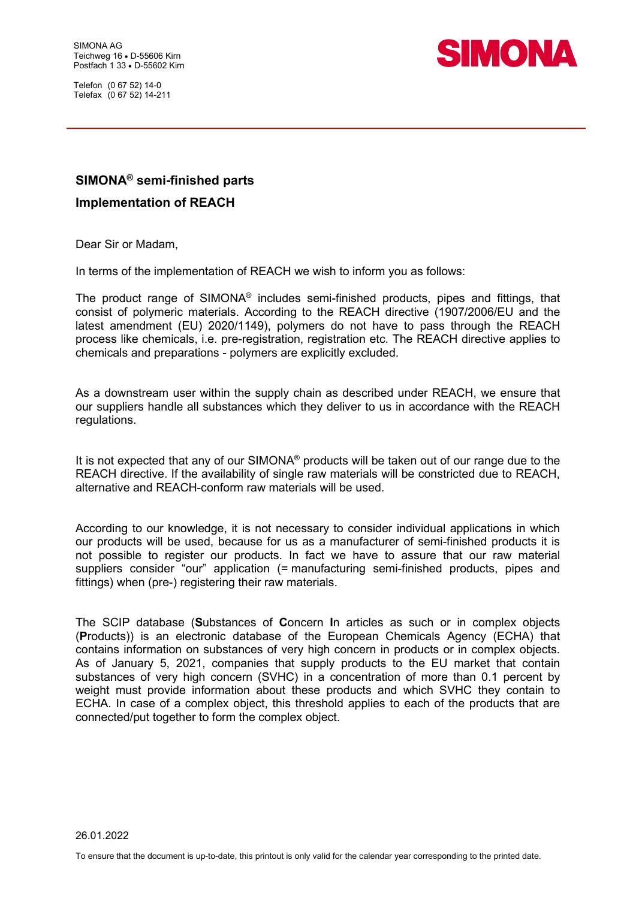Telefon (0 67 52) 14-0 Telefax (0 67 52) 14-211



## **SIMONA® semi-finished parts Implementation of REACH**

Dear Sir or Madam,

In terms of the implementation of REACH we wish to inform you as follows:

The product range of SIMONA® includes semi-finished products, pipes and fittings, that consist of polymeric materials. According to the REACH directive (1907/2006/EU and the latest amendment (EU) 2020/1149), polymers do not have to pass through the REACH process like chemicals, i.e. pre-registration, registration etc. The REACH directive applies to chemicals and preparations - polymers are explicitly excluded.

As a downstream user within the supply chain as described under REACH, we ensure that our suppliers handle all substances which they deliver to us in accordance with the REACH regulations.

It is not expected that any of our SIMONA<sup>®</sup> products will be taken out of our range due to the REACH directive. If the availability of single raw materials will be constricted due to REACH, alternative and REACH-conform raw materials will be used.

According to our knowledge, it is not necessary to consider individual applications in which our products will be used, because for us as a manufacturer of semi-finished products it is not possible to register our products. In fact we have to assure that our raw material suppliers consider "our" application (= manufacturing semi-finished products, pipes and fittings) when (pre-) registering their raw materials.

The SCIP database (**S**ubstances of **C**oncern **I**n articles as such or in complex objects (**P**roducts)) is an electronic database of the European Chemicals Agency (ECHA) that contains information on substances of very high concern in products or in complex objects. As of January 5, 2021, companies that supply products to the EU market that contain substances of very high concern (SVHC) in a concentration of more than 0.1 percent by weight must provide information about these products and which SVHC they contain to ECHA. In case of a complex object, this threshold applies to each of the products that are connected/put together to form the complex object.